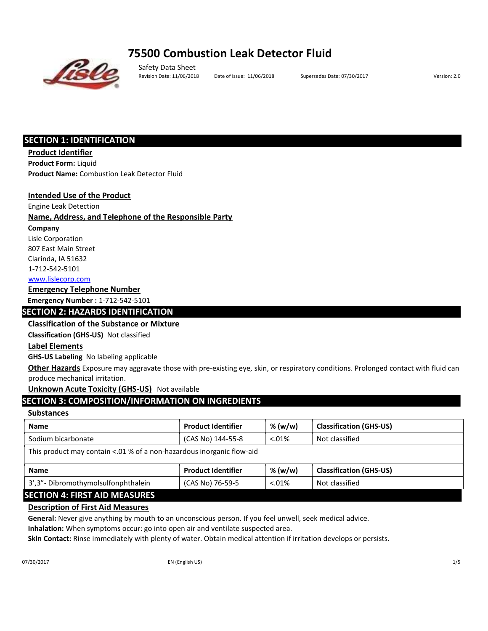# 75500 Combustion Leak Detector Fluid



Safety Data Sheet Revision Date: 11/06/2018 Date of issue: 11/06/2018 Supersedes Date: 07/30/2017 Version: 2.0

## SECTION 1: IDENTIFICATION

Product Identifier Product Form: Liquid Product Name: Combustion Leak Detector Fluid

## Intended Use of the Product

Engine Leak Detection

## Name, Address, and Telephone of the Responsible Party

Company

Lisle Corporation 807 East Main Street

Clarinda, IA 51632

1‐712‐542‐5101

www.lislecorp.com

## Emergency Telephone Number

Emergency Number : 1‐712‐542‐5101

## SECTION 2: HAZARDS IDENTIFICATION

## Classification of the Substance or Mixture

Classification (GHS‐US) Not classified

## Label Elements

GHS‐US Labeling No labeling applicable

Other Hazards Exposure may aggravate those with pre-existing eye, skin, or respiratory conditions. Prolonged contact with fluid can produce mechanical irritation.

## Unknown Acute Toxicity (GHS-US) Not available

## SECTION 3: COMPOSITION/INFORMATION ON INGREDIENTS

## **Substances**

| <b>Name</b>                                                           | <b>Product Identifier</b> | % (w/w)  | <b>Classification (GHS-US)</b> |  |  |  |  |
|-----------------------------------------------------------------------|---------------------------|----------|--------------------------------|--|--|--|--|
| Sodium bicarbonate                                                    | (CAS No) 144-55-8         | $0.01\%$ | Not classified                 |  |  |  |  |
| This product may contain <.01 % of a non-hazardous inorganic flow-aid |                           |          |                                |  |  |  |  |
| <b>Name</b>                                                           | <b>Product Identifier</b> | % (w/w)  | <b>Classification (GHS-US)</b> |  |  |  |  |
| 3', 3" - Dibromothymolsulfonphthalein                                 | (CAS No) 76-59-5          | $0.01\%$ | Not classified                 |  |  |  |  |

## SECTION 4: FIRST AID MEASURES

## Description of First Aid Measures

General: Never give anything by mouth to an unconscious person. If you feel unwell, seek medical advice.

Inhalation: When symptoms occur: go into open air and ventilate suspected area.

Skin Contact: Rinse immediately with plenty of water. Obtain medical attention if irritation develops or persists.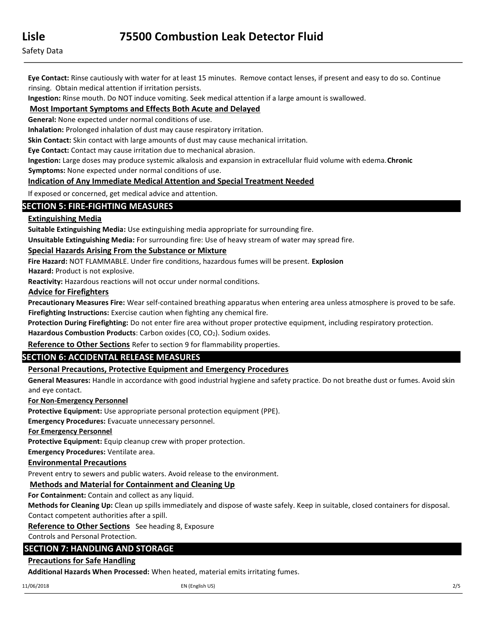Eye Contact: Rinse cautiously with water for at least 15 minutes. Remove contact lenses, if present and easy to do so. Continue rinsing. Obtain medical attention if irritation persists.

Ingestion: Rinse mouth. Do NOT induce vomiting. Seek medical attention if a large amount is swallowed.

## Most Important Symptoms and Effects Both Acute and Delayed

General: None expected under normal conditions of use.

Inhalation: Prolonged inhalation of dust may cause respiratory irritation.

Skin Contact: Skin contact with large amounts of dust may cause mechanical irritation.

Eye Contact: Contact may cause irritation due to mechanical abrasion.

Ingestion: Large doses may produce systemic alkalosis and expansion in extracellular fluid volume with edema. Chronic Symptoms: None expected under normal conditions of use.

## Indication of Any Immediate Medical Attention and Special Treatment Needed

If exposed or concerned, get medical advice and attention.

## SECTION 5: FIRE‐FIGHTING MEASURES

## Extinguishing Media

Suitable Extinguishing Media: Use extinguishing media appropriate for surrounding fire.

Unsuitable Extinguishing Media: For surrounding fire: Use of heavy stream of water may spread fire.

## Special Hazards Arising From the Substance or Mixture

Fire Hazard: NOT FLAMMABLE. Under fire conditions, hazardous fumes will be present. Explosion

Hazard: Product is not explosive.

Reactivity: Hazardous reactions will not occur under normal conditions.

## Advice for Firefighters

Precautionary Measures Fire: Wear self-contained breathing apparatus when entering area unless atmosphere is proved to be safe. Firefighting Instructions: Exercise caution when fighting any chemical fire.

Protection During Firefighting: Do not enter fire area without proper protective equipment, including respiratory protection.

Hazardous Combustion Products: Carbon oxides (CO, CO<sub>2</sub>). Sodium oxides.

Reference to Other Sections Refer to section 9 for flammability properties.

## SECTION 6: ACCIDENTAL RELEASE MEASURES

## Personal Precautions, Protective Equipment and Emergency Procedures

General Measures: Handle in accordance with good industrial hygiene and safety practice. Do not breathe dust or fumes. Avoid skin and eye contact.

## For Non‐Emergency Personnel

Protective Equipment: Use appropriate personal protection equipment (PPE).

Emergency Procedures: Evacuate unnecessary personnel.

## For Emergency Personnel

Protective Equipment: Equip cleanup crew with proper protection.

Emergency Procedures: Ventilate area.

## Environmental Precautions

Prevent entry to sewers and public waters. Avoid release to the environment.

## Methods and Material for Containment and Cleaning Up

For Containment: Contain and collect as any liquid.

Methods for Cleaning Up: Clean up spills immediately and dispose of waste safely. Keep in suitable, closed containers for disposal. Contact competent authorities after a spill.

Reference to Other Sections See heading 8, Exposure

Controls and Personal Protection.

## SECTION 7: HANDLING AND STORAGE

## Precautions for Safe Handling

Additional Hazards When Processed: When heated, material emits irritating fumes.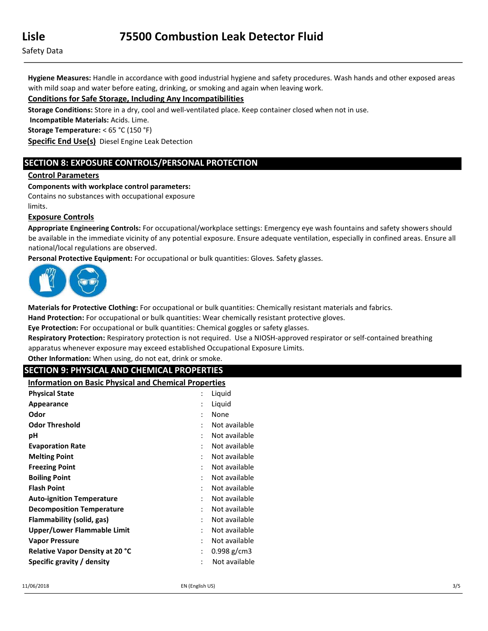Hygiene Measures: Handle in accordance with good industrial hygiene and safety procedures. Wash hands and other exposed areas with mild soap and water before eating, drinking, or smoking and again when leaving work.

## Conditions for Safe Storage, Including Any Incompatibilities

Storage Conditions: Store in a dry, cool and well-ventilated place. Keep container closed when not in use.

Incompatible Materials: Acids. Lime.

Storage Temperature: < 65 °C (150 °F)

Specific End Use(s) Diesel Engine Leak Detection

## SECTION 8: EXPOSURE CONTROLS/PERSONAL PROTECTION

## Control Parameters

Components with workplace control parameters:

Contains no substances with occupational exposure

limits.

#### Exposure Controls

Appropriate Engineering Controls: For occupational/workplace settings: Emergency eye wash fountains and safety showers should be available in the immediate vicinity of any potential exposure. Ensure adequate ventilation, especially in confined areas. Ensure all national/local regulations are observed.

Personal Protective Equipment: For occupational or bulk quantities: Gloves. Safety glasses.



Materials for Protective Clothing: For occupational or bulk quantities: Chemically resistant materials and fabrics.

Hand Protection: For occupational or bulk quantities: Wear chemically resistant protective gloves.

Eye Protection: For occupational or bulk quantities: Chemical goggles or safety glasses.

Respiratory Protection: Respiratory protection is not required. Use a NIOSH-approved respirator or self-contained breathing apparatus whenever exposure may exceed established Occupational Exposure Limits.

Other Information: When using, do not eat, drink or smoke.

## SECTION 9: PHYSICAL AND CHEMICAL PROPERTIES

Information on Basic Physical and Chemical Properties

| <b>Physical State</b>                  |                | Liquid        |
|----------------------------------------|----------------|---------------|
| Appearance                             | $\ddot{\cdot}$ | Liquid        |
| Odor                                   | ٠              | None          |
| <b>Odor Threshold</b>                  |                | Not available |
| рH                                     |                | Not available |
| <b>Evaporation Rate</b>                |                | Not available |
| <b>Melting Point</b>                   |                | Not available |
| <b>Freezing Point</b>                  |                | Not available |
| <b>Boiling Point</b>                   | ٠              | Not available |
| <b>Flash Point</b>                     |                | Not available |
| <b>Auto-ignition Temperature</b>       |                | Not available |
| <b>Decomposition Temperature</b>       | ٠              | Not available |
| Flammability (solid, gas)              |                | Not available |
| Upper/Lower Flammable Limit            | $\ddot{\cdot}$ | Not available |
| <b>Vapor Pressure</b>                  | ٠              | Not available |
| <b>Relative Vapor Density at 20 °C</b> |                | $0.998$ g/cm3 |
| Specific gravity / density             |                | Not available |
|                                        |                |               |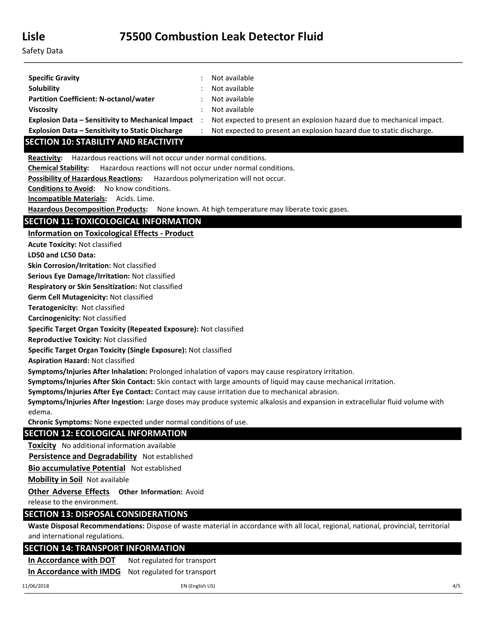| <b>Specific Gravity</b>                                  | Not available                                                         |
|----------------------------------------------------------|-----------------------------------------------------------------------|
| <b>Solubility</b>                                        | Not available                                                         |
| <b>Partition Coefficient: N-octanol/water</b>            | Not available                                                         |
| <b>Viscosity</b>                                         | Not available                                                         |
| <b>Explosion Data – Sensitivity to Mechanical Impact</b> | Not expected to present an explosion hazard due to mechanical impact. |
| <b>Explosion Data - Sensitivity to Static Discharge</b>  | Not expected to present an explosion hazard due to static discharge.  |

# SECTION 10: STABILITY AND REACTIVITY

Reactivity: Hazardous reactions will not occur under normal conditions.

Chemical Stability: Hazardous reactions will not occur under normal conditions.

Possibility of Hazardous Reactions: Hazardous polymerization will not occur.

Conditions to Avoid: No know conditions.

Incompatible Materials: Acids. Lime.

Hazardous Decomposition Products: None known. At high temperature may liberate toxic gases.

## SECTION 11: TOXICOLOGICAL INFORMATION

Information on Toxicological Effects ‐ Product

Acute Toxicity: Not classified

LD50 and LC50 Data:

Skin Corrosion/Irritation: Not classified

Serious Eye Damage/Irritation: Not classified

Respiratory or Skin Sensitization: Not classified

Germ Cell Mutagenicity: Not classified

Teratogenicity: Not classified

Carcinogenicity: Not classified

Specific Target Organ Toxicity (Repeated Exposure): Not classified

Reproductive Toxicity: Not classified

Specific Target Organ Toxicity (Single Exposure): Not classified

Aspiration Hazard: Not classified

Symptoms/Injuries After Inhalation: Prolonged inhalation of vapors may cause respiratory irritation.

Symptoms/Injuries After Skin Contact: Skin contact with large amounts of liquid may cause mechanical irritation.

Symptoms/Injuries After Eye Contact: Contact may cause irritation due to mechanical abrasion.

Symptoms/Injuries After Ingestion: Large doses may produce systemic alkalosis and expansion in extracellular fluid volume with edema.

Chronic Symptoms: None expected under normal conditions of use.

## SECTION 12: ECOLOGICAL INFORMATION

**Toxicity** No additional information available

Persistence and Degradability Not established

Bio accumulative Potential Not established

Mobility in Soil Not available

**Other Adverse Effects Other Information: Avoid** 

release to the environment.

## SECTION 13: DISPOSAL CONSIDERATIONS

Waste Disposal Recommendations: Dispose of waste material in accordance with all local, regional, national, provincial, territorial and international regulations.

## SECTION 14: TRANSPORT INFORMATION

In Accordance with DOT Not regulated for transport In Accordance with IMDG Not regulated for transport